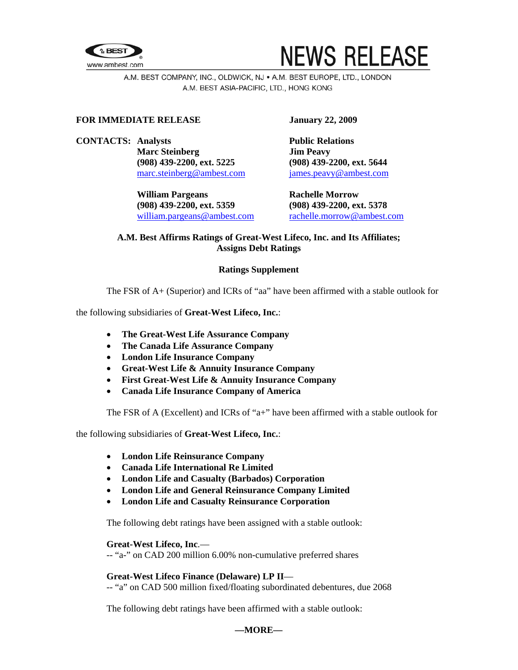



A.M. BEST COMPANY, INC., OLDWICK, NJ . A.M. BEST EUROPE, LTD., LONDON A.M. BEST ASIA-PACIFIC, LTD., HONG KONG

# **FOR IMMEDIATE RELEASE January 22, 2009**

**CONTACTS:** Analysts **Public Relations Marc Steinberg Jim Peavy (908) 439-2200, ext. 5225 (908) 439-2200, ext. 5644**  [marc.steinberg@ambest.com](mailto:marc.steinberg@ambest.com)[james.peavy@ambest.com](mailto:james.peavy@ambest.com)

> William Pargeans **Rachelle Morrow (908) 439-2200, ext. 5359 (908) 439-2200, ext. 5378**  [william.pargeans@ambest.com](mailto:william.pargeans@ambest.com) [rachelle.morrow@ambest.com](mailto:rachelle.morrow@ambest.com)

# **A.M. Best Affirms Ratings of Great-West Lifeco, Inc. and Its Affiliates; Assigns Debt Ratings**

# **Ratings Supplement**

The FSR of A+ (Superior) and ICRs of "aa" have been affirmed with a stable outlook for

the following subsidiaries of **Great-West Lifeco, Inc.**:

- **The Great-West Life Assurance Company**
- **The Canada Life Assurance Company**
- **London Life Insurance Company**
- **Great-West Life & Annuity Insurance Company**
- **First Great-West Life & Annuity Insurance Company**
- **Canada Life Insurance Company of America**

The FSR of A (Excellent) and ICRs of "a+" have been affirmed with a stable outlook for

the following subsidiaries of **Great-West Lifeco, Inc.**:

- **London Life Reinsurance Company**
- **Canada Life International Re Limited**
- **London Life and Casualty (Barbados) Corporation**
- **London Life and General Reinsurance Company Limited**
- **London Life and Casualty Reinsurance Corporation**

The following debt ratings have been assigned with a stable outlook:

## **Great-West Lifeco, Inc**.—

-- "a-" on CAD 200 million 6.00% non-cumulative preferred shares

# **Great-West Lifeco Finance (Delaware) LP II**—

-- "a" on CAD 500 million fixed/floating subordinated debentures, due 2068

The following debt ratings have been affirmed with a stable outlook: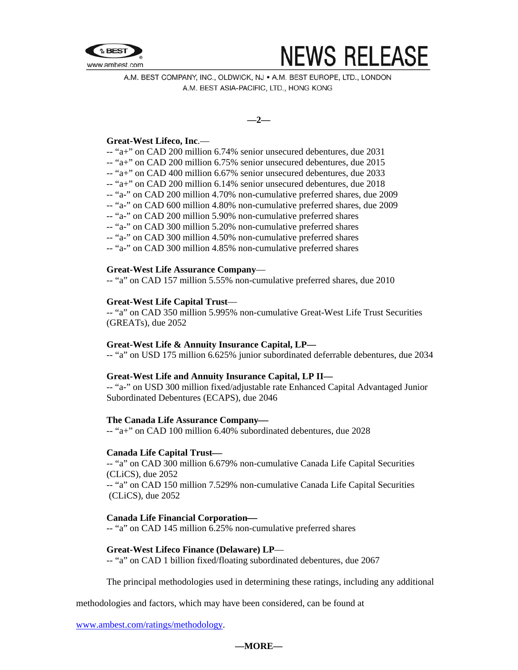

# **NEWS RELEASE**

A.M. BEST COMPANY, INC., OLDWICK, NJ . A.M. BEST EUROPE, LTD., LONDON A.M. BEST ASIA-PACIFIC, LTD., HONG KONG

**—2—** 

## **Great-West Lifeco, Inc**.—

- -- "a+" on CAD 200 million 6.74% senior unsecured debentures, due 2031
- -- "a+" on CAD 200 million 6.75% senior unsecured debentures, due 2015
- -- "a+" on CAD 400 million 6.67% senior unsecured debentures, due 2033
- -- "a+" on CAD 200 million 6.14% senior unsecured debentures, due 2018
- -- "a-" on CAD 200 million 4.70% non-cumulative preferred shares, due 2009
- -- "a-" on CAD 600 million 4.80% non-cumulative preferred shares, due 2009
- -- "a-" on CAD 200 million 5.90% non-cumulative preferred shares
- -- "a-" on CAD 300 million 5.20% non-cumulative preferred shares
- -- "a-" on CAD 300 million 4.50% non-cumulative preferred shares
- -- "a-" on CAD 300 million 4.85% non-cumulative preferred shares

# **Great-West Life Assurance Company**—

-- "a" on CAD 157 million 5.55% non-cumulative preferred shares, due 2010

# **Great-West Life Capital Trust**—

-- "a" on CAD 350 million 5.995% non-cumulative Great-West Life Trust Securities (GREATs), due 2052

## **Great-West Life & Annuity Insurance Capital, LP—**

-- "a" on USD 175 million 6.625% junior subordinated deferrable debentures, due 2034

## **Great-West Life and Annuity Insurance Capital, LP II—**

-- "a-" on USD 300 million fixed/adjustable rate Enhanced Capital Advantaged Junior Subordinated Debentures (ECAPS), due 2046

## **The Canada Life Assurance Company—**

-- "a+" on CAD 100 million 6.40% subordinated debentures, due 2028

## **Canada Life Capital Trust—**

-- "a" on CAD 300 million 6.679% non-cumulative Canada Life Capital Securities (CLiCS), due 2052

-- "a" on CAD 150 million 7.529% non-cumulative Canada Life Capital Securities (CLiCS), due 2052

## **Canada Life Financial Corporation—**

-- "a" on CAD 145 million 6.25% non-cumulative preferred shares

## **Great-West Lifeco Finance (Delaware) LP**—

-- "a" on CAD 1 billion fixed/floating subordinated debentures, due 2067

The principal methodologies used in determining these ratings, including any additional

methodologies and factors, which may have been considered, can be found at

[www.ambest.com/ratings/methodology](http://www.ambest.com/ratings/methodology).